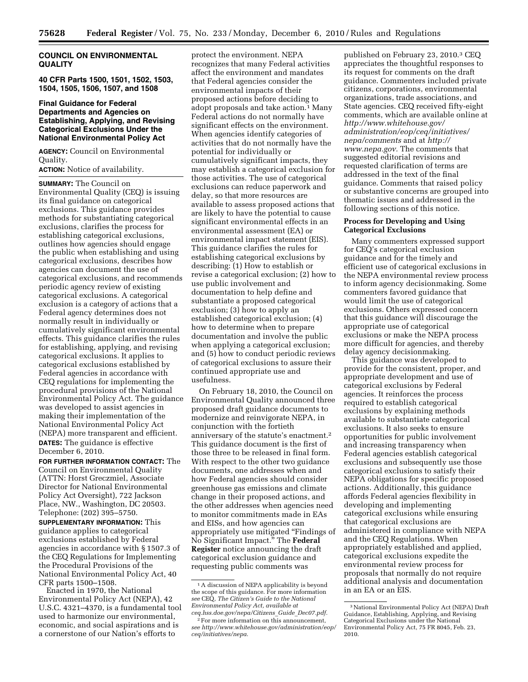## **COUNCIL ON ENVIRONMENTAL QUALITY**

**40 CFR Parts 1500, 1501, 1502, 1503, 1504, 1505, 1506, 1507, and 1508** 

## **Final Guidance for Federal Departments and Agencies on Establishing, Applying, and Revising Categorical Exclusions Under the National Environmental Policy Act**

**AGENCY:** Council on Environmental Quality.

**ACTION:** Notice of availability.

**SUMMARY:** The Council on Environmental Quality (CEQ) is issuing its final guidance on categorical exclusions. This guidance provides methods for substantiating categorical exclusions, clarifies the process for establishing categorical exclusions, outlines how agencies should engage the public when establishing and using categorical exclusions, describes how agencies can document the use of categorical exclusions, and recommends periodic agency review of existing categorical exclusions. A categorical exclusion is a category of actions that a Federal agency determines does not normally result in individually or cumulatively significant environmental effects. This guidance clarifies the rules for establishing, applying, and revising categorical exclusions. It applies to categorical exclusions established by Federal agencies in accordance with CEQ regulations for implementing the procedural provisions of the National Environmental Policy Act. The guidance was developed to assist agencies in making their implementation of the National Environmental Policy Act (NEPA) more transparent and efficient. **DATES:** The guidance is effective December 6, 2010.

**FOR FURTHER INFORMATION CONTACT:** The Council on Environmental Quality (ATTN: Horst Greczmiel, Associate Director for National Environmental Policy Act Oversight), 722 Jackson Place, NW., Washington, DC 20503. Telephone: (202) 395–5750.

**SUPPLEMENTARY INFORMATION:** This guidance applies to categorical exclusions established by Federal agencies in accordance with § 1507.3 of the CEQ Regulations for Implementing the Procedural Provisions of the National Environmental Policy Act, 40 CFR parts 1500–1508.

Enacted in 1970, the National Environmental Policy Act (NEPA), 42 U.S.C. 4321–4370, is a fundamental tool used to harmonize our environmental, economic, and social aspirations and is a cornerstone of our Nation's efforts to

protect the environment. NEPA recognizes that many Federal activities affect the environment and mandates that Federal agencies consider the environmental impacts of their proposed actions before deciding to adopt proposals and take action.1 Many Federal actions do not normally have significant effects on the environment. When agencies identify categories of activities that do not normally have the potential for individually or cumulatively significant impacts, they may establish a categorical exclusion for those activities. The use of categorical exclusions can reduce paperwork and delay, so that more resources are available to assess proposed actions that are likely to have the potential to cause significant environmental effects in an environmental assessment (EA) or environmental impact statement (EIS). This guidance clarifies the rules for establishing categorical exclusions by describing: (1) How to establish or revise a categorical exclusion; (2) how to use public involvement and documentation to help define and substantiate a proposed categorical exclusion; (3) how to apply an established categorical exclusion; (4) how to determine when to prepare documentation and involve the public when applying a categorical exclusion; and (5) how to conduct periodic reviews of categorical exclusions to assure their continued appropriate use and usefulness.

On February 18, 2010, the Council on Environmental Quality announced three proposed draft guidance documents to modernize and reinvigorate NEPA, in conjunction with the fortieth anniversary of the statute's enactment.2 This guidance document is the first of those three to be released in final form. With respect to the other two guidance documents, one addresses when and how Federal agencies should consider greenhouse gas emissions and climate change in their proposed actions, and the other addresses when agencies need to monitor commitments made in EAs and EISs, and how agencies can appropriately use mitigated ''Findings of No Significant Impact.'' The **Federal Register** notice announcing the draft categorical exclusion guidance and requesting public comments was

published on February 23, 2010.3 CEQ appreciates the thoughtful responses to its request for comments on the draft guidance. Commenters included private citizens, corporations, environmental organizations, trade associations, and State agencies. CEQ received fifty-eight comments, which are available online at *http://www.whitehouse.gov/ administration/eop/ceq/initiatives/ nepa/comments* and at *http:// www.nepa.gov.* The comments that suggested editorial revisions and requested clarification of terms are addressed in the text of the final guidance. Comments that raised policy or substantive concerns are grouped into thematic issues and addressed in the following sections of this notice.

## **Process for Developing and Using Categorical Exclusions**

Many commenters expressed support for CEQ's categorical exclusion guidance and for the timely and efficient use of categorical exclusions in the NEPA environmental review process to inform agency decisionmaking. Some commenters favored guidance that would limit the use of categorical exclusions. Others expressed concern that this guidance will discourage the appropriate use of categorical exclusions or make the NEPA process more difficult for agencies, and thereby delay agency decisionmaking.

This guidance was developed to provide for the consistent, proper, and appropriate development and use of categorical exclusions by Federal agencies. It reinforces the process required to establish categorical exclusions by explaining methods available to substantiate categorical exclusions. It also seeks to ensure opportunities for public involvement and increasing transparency when Federal agencies establish categorical exclusions and subsequently use those categorical exclusions to satisfy their NEPA obligations for specific proposed actions. Additionally, this guidance affords Federal agencies flexibility in developing and implementing categorical exclusions while ensuring that categorical exclusions are administered in compliance with NEPA and the CEQ Regulations. When appropriately established and applied, categorical exclusions expedite the environmental review process for proposals that normally do not require additional analysis and documentation in an EA or an EIS.

<sup>1</sup>A discussion of NEPA applicability is beyond the scope of this guidance. For more information *see* CEQ, *The Citizen's Guide to the National Environmental Policy Act, available at ceq.hss.doe.gov/nepa/Citizens*\_*Guide*\_*Dec07.pdf.* 

<sup>2</sup>For more information on this announcement, *see http://www.whitehouse.gov/administration/eop/ ceq/initiatives/nepa.* 

<sup>3</sup>National Environmental Policy Act (NEPA) Draft Guidance, Establishing, Applying, and Revising Categorical Exclusions under the National Environmental Policy Act, 75 FR 8045, Feb. 23, 2010.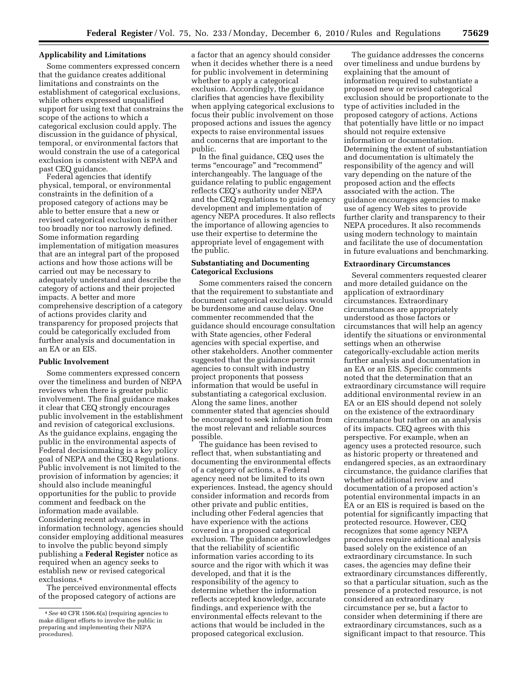### **Applicability and Limitations**

Some commenters expressed concern that the guidance creates additional limitations and constraints on the establishment of categorical exclusions, while others expressed unqualified support for using text that constrains the scope of the actions to which a categorical exclusion could apply. The discussion in the guidance of physical, temporal, or environmental factors that would constrain the use of a categorical exclusion is consistent with NEPA and past CEQ guidance.

Federal agencies that identify physical, temporal, or environmental constraints in the definition of a proposed category of actions may be able to better ensure that a new or revised categorical exclusion is neither too broadly nor too narrowly defined. Some information regarding implementation of mitigation measures that are an integral part of the proposed actions and how those actions will be carried out may be necessary to adequately understand and describe the category of actions and their projected impacts. A better and more comprehensive description of a category of actions provides clarity and transparency for proposed projects that could be categorically excluded from further analysis and documentation in an EA or an EIS.

#### **Public Involvement**

Some commenters expressed concern over the timeliness and burden of NEPA reviews when there is greater public involvement. The final guidance makes it clear that CEQ strongly encourages public involvement in the establishment and revision of categorical exclusions. As the guidance explains, engaging the public in the environmental aspects of Federal decisionmaking is a key policy goal of NEPA and the CEQ Regulations. Public involvement is not limited to the provision of information by agencies; it should also include meaningful opportunities for the public to provide comment and feedback on the information made available. Considering recent advances in information technology, agencies should consider employing additional measures to involve the public beyond simply publishing a **Federal Register** notice as required when an agency seeks to establish new or revised categorical exclusions.4

The perceived environmental effects of the proposed category of actions are

a factor that an agency should consider when it decides whether there is a need for public involvement in determining whether to apply a categorical exclusion. Accordingly, the guidance clarifies that agencies have flexibility when applying categorical exclusions to focus their public involvement on those proposed actions and issues the agency expects to raise environmental issues and concerns that are important to the public.

In the final guidance, CEQ uses the terms ''encourage'' and ''recommend'' interchangeably. The language of the guidance relating to public engagement reflects CEQ's authority under NEPA and the CEQ regulations to guide agency development and implementation of agency NEPA procedures. It also reflects the importance of allowing agencies to use their expertise to determine the appropriate level of engagement with the public.

## **Substantiating and Documenting Categorical Exclusions**

Some commenters raised the concern that the requirement to substantiate and document categorical exclusions would be burdensome and cause delay. One commenter recommended that the guidance should encourage consultation with State agencies, other Federal agencies with special expertise, and other stakeholders. Another commenter suggested that the guidance permit agencies to consult with industry project proponents that possess information that would be useful in substantiating a categorical exclusion. Along the same lines, another commenter stated that agencies should be encouraged to seek information from the most relevant and reliable sources possible.

The guidance has been revised to reflect that, when substantiating and documenting the environmental effects of a category of actions, a Federal agency need not be limited to its own experiences. Instead, the agency should consider information and records from other private and public entities, including other Federal agencies that have experience with the actions covered in a proposed categorical exclusion. The guidance acknowledges that the reliability of scientific information varies according to its source and the rigor with which it was developed, and that it is the responsibility of the agency to determine whether the information reflects accepted knowledge, accurate findings, and experience with the environmental effects relevant to the actions that would be included in the proposed categorical exclusion.

The guidance addresses the concerns over timeliness and undue burdens by explaining that the amount of information required to substantiate a proposed new or revised categorical exclusion should be proportionate to the type of activities included in the proposed category of actions. Actions that potentially have little or no impact should not require extensive information or documentation. Determining the extent of substantiation and documentation is ultimately the responsibility of the agency and will vary depending on the nature of the proposed action and the effects associated with the action. The guidance encourages agencies to make use of agency Web sites to provide further clarity and transparency to their NEPA procedures. It also recommends using modern technology to maintain and facilitate the use of documentation in future evaluations and benchmarking.

### **Extraordinary Circumstances**

Several commenters requested clearer and more detailed guidance on the application of extraordinary circumstances. Extraordinary circumstances are appropriately understood as those factors or circumstances that will help an agency identify the situations or environmental settings when an otherwise categorically-excludable action merits further analysis and documentation in an EA or an EIS. Specific comments noted that the determination that an extraordinary circumstance will require additional environmental review in an EA or an EIS should depend not solely on the existence of the extraordinary circumstance but rather on an analysis of its impacts. CEQ agrees with this perspective. For example, when an agency uses a protected resource, such as historic property or threatened and endangered species, as an extraordinary circumstance, the guidance clarifies that whether additional review and documentation of a proposed action's potential environmental impacts in an EA or an EIS is required is based on the potential for significantly impacting that protected resource. However, CEQ recognizes that some agency NEPA procedures require additional analysis based solely on the existence of an extraordinary circumstance. In such cases, the agencies may define their extraordinary circumstances differently, so that a particular situation, such as the presence of a protected resource, is not considered an extraordinary circumstance per se, but a factor to consider when determining if there are extraordinary circumstances, such as a significant impact to that resource. This

<sup>4</sup>*See* 40 CFR 1506.6(a) (requiring agencies to make diligent efforts to involve the public in preparing and implementing their NEPA procedures).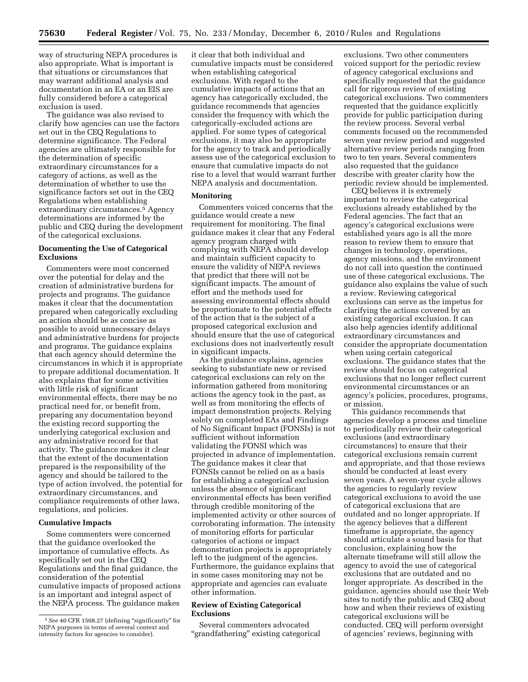way of structuring NEPA procedures is also appropriate. What is important is that situations or circumstances that may warrant additional analysis and documentation in an EA or an EIS are fully considered before a categorical exclusion is used.

The guidance was also revised to clarify how agencies can use the factors set out in the CEQ Regulations to determine significance. The Federal agencies are ultimately responsible for the determination of specific extraordinary circumstances for a category of actions, as well as the determination of whether to use the significance factors set out in the CEQ Regulations when establishing extraordinary circumstances.5 Agency determinations are informed by the public and CEQ during the development of the categorical exclusions.

## **Documenting the Use of Categorical Exclusions**

Commenters were most concerned over the potential for delay and the creation of administrative burdens for projects and programs. The guidance makes it clear that the documentation prepared when categorically excluding an action should be as concise as possible to avoid unnecessary delays and administrative burdens for projects and programs. The guidance explains that each agency should determine the circumstances in which it is appropriate to prepare additional documentation. It also explains that for some activities with little risk of significant environmental effects, there may be no practical need for, or benefit from, preparing any documentation beyond the existing record supporting the underlying categorical exclusion and any administrative record for that activity. The guidance makes it clear that the extent of the documentation prepared is the responsibility of the agency and should be tailored to the type of action involved, the potential for extraordinary circumstances, and compliance requirements of other laws, regulations, and policies.

### **Cumulative Impacts**

Some commenters were concerned that the guidance overlooked the importance of cumulative effects. As specifically set out in the CEQ Regulations and the final guidance, the consideration of the potential cumulative impacts of proposed actions is an important and integral aspect of the NEPA process. The guidance makes it clear that both individual and cumulative impacts must be considered when establishing categorical exclusions. With regard to the cumulative impacts of actions that an agency has categorically excluded, the guidance recommends that agencies consider the frequency with which the categorically-excluded actions are applied. For some types of categorical exclusions, it may also be appropriate for the agency to track and periodically assess use of the categorical exclusion to ensure that cumulative impacts do not rise to a level that would warrant further NEPA analysis and documentation.

### **Monitoring**

Commenters voiced concerns that the guidance would create a new requirement for monitoring. The final guidance makes it clear that any Federal agency program charged with complying with NEPA should develop and maintain sufficient capacity to ensure the validity of NEPA reviews that predict that there will not be significant impacts. The amount of effort and the methods used for assessing environmental effects should be proportionate to the potential effects of the action that is the subject of a proposed categorical exclusion and should ensure that the use of categorical exclusions does not inadvertently result in significant impacts.

As the guidance explains, agencies seeking to substantiate new or revised categorical exclusions can rely on the information gathered from monitoring actions the agency took in the past, as well as from monitoring the effects of impact demonstration projects. Relying solely on completed EAs and Findings of No Significant Impact (FONSIs) is not sufficient without information validating the FONSI which was projected in advance of implementation. The guidance makes it clear that FONSIs cannot be relied on as a basis for establishing a categorical exclusion unless the absence of significant environmental effects has been verified through credible monitoring of the implemented activity or other sources of corroborating information. The intensity of monitoring efforts for particular categories of actions or impact demonstration projects is appropriately left to the judgment of the agencies. Furthermore, the guidance explains that in some cases monitoring may not be appropriate and agencies can evaluate other information.

## **Review of Existing Categorical Exclusions**

Several commenters advocated "grandfathering" existing categorical

exclusions. Two other commenters voiced support for the periodic review of agency categorical exclusions and specifically requested that the guidance call for rigorous review of existing categorical exclusions. Two commenters requested that the guidance explicitly provide for public participation during the review process. Several verbal comments focused on the recommended seven year review period and suggested alternative review periods ranging from two to ten years. Several commenters also requested that the guidance describe with greater clarity how the periodic review should be implemented.

CEQ believes it is extremely important to review the categorical exclusions already established by the Federal agencies. The fact that an agency's categorical exclusions were established years ago is all the more reason to review them to ensure that changes in technology, operations, agency missions, and the environment do not call into question the continued use of these categorical exclusions. The guidance also explains the value of such a review. Reviewing categorical exclusions can serve as the impetus for clarifying the actions covered by an existing categorical exclusion. It can also help agencies identify additional extraordinary circumstances and consider the appropriate documentation when using certain categorical exclusions. The guidance states that the review should focus on categorical exclusions that no longer reflect current environmental circumstances or an agency's policies, procedures, programs, or mission.

This guidance recommends that agencies develop a process and timeline to periodically review their categorical exclusions (and extraordinary circumstances) to ensure that their categorical exclusions remain current and appropriate, and that those reviews should be conducted at least every seven years. A seven-year cycle allows the agencies to regularly review categorical exclusions to avoid the use of categorical exclusions that are outdated and no longer appropriate. If the agency believes that a different timeframe is appropriate, the agency should articulate a sound basis for that conclusion, explaining how the alternate timeframe will still allow the agency to avoid the use of categorical exclusions that are outdated and no longer appropriate. As described in the guidance, agencies should use their Web sites to notify the public and CEQ about how and when their reviews of existing categorical exclusions will be conducted. CEQ will perform oversight of agencies' reviews, beginning with

<sup>&</sup>lt;sup>5</sup> See 40 CFR 1508.27 (defining "significantly" for NEPA purposes in terms of several context and intensity factors for agencies to consider).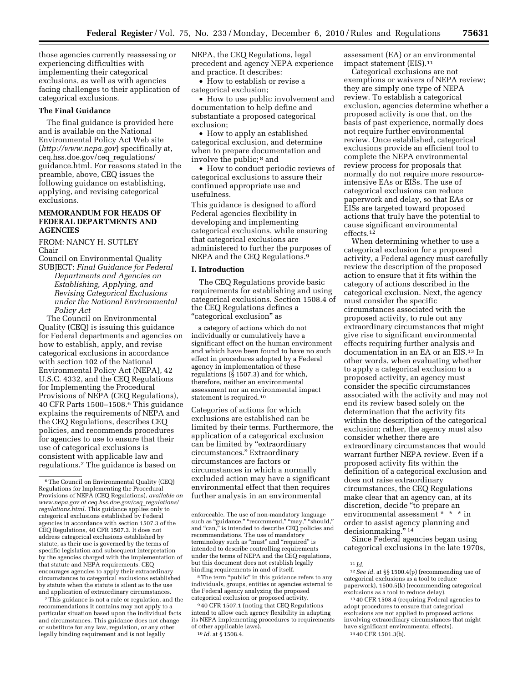those agencies currently reassessing or experiencing difficulties with implementing their categorical exclusions, as well as with agencies facing challenges to their application of categorical exclusions.

#### **The Final Guidance**

The final guidance is provided here and is available on the National Environmental Policy Act Web site (*http://www.nepa.gov*) specifically at, ceq.hss.doe.gov/ceq\_regulations/ guidance.html. For reasons stated in the preamble, above, CEQ issues the following guidance on establishing, applying, and revising categorical exclusions.

## **MEMORANDUM FOR HEADS OF FEDERAL DEPARTMENTS AND AGENCIES**

FROM: NANCY H. SUTLEY Chair

Council on Environmental Quality SUBJECT: *Final Guidance for Federal Departments and Agencies on Establishing, Applying, and Revising Categorical Exclusions under the National Environmental Policy Act* 

The Council on Environmental Quality (CEQ) is issuing this guidance for Federal departments and agencies on how to establish, apply, and revise categorical exclusions in accordance with section 102 of the National Environmental Policy Act (NEPA), 42 U.S.C. 4332, and the CEQ Regulations for Implementing the Procedural Provisions of NEPA (CEQ Regulations), 40 CFR Parts 1500–1508.6 This guidance explains the requirements of NEPA and the CEQ Regulations, describes CEQ policies, and recommends procedures for agencies to use to ensure that their use of categorical exclusions is consistent with applicable law and regulations.7 The guidance is based on

7This guidance is not a rule or regulation, and the recommendations it contains may not apply to a particular situation based upon the individual facts and circumstances. This guidance does not change or substitute for any law, regulation, or any other legally binding requirement and is not legally

NEPA, the CEQ Regulations, legal precedent and agency NEPA experience and practice. It describes:

• How to establish or revise a categorical exclusion;

• How to use public involvement and documentation to help define and substantiate a proposed categorical exclusion;

• How to apply an established categorical exclusion, and determine when to prepare documentation and involve the public; 8 and

• How to conduct periodic reviews of categorical exclusions to assure their continued appropriate use and usefulness.

This guidance is designed to afford Federal agencies flexibility in developing and implementing categorical exclusions, while ensuring that categorical exclusions are administered to further the purposes of NEPA and the CEQ Regulations.9

### **I. Introduction**

The CEQ Regulations provide basic requirements for establishing and using categorical exclusions. Section 1508.4 of the CEQ Regulations defines a ''categorical exclusion'' as

a category of actions which do not individually or cumulatively have a significant effect on the human environment and which have been found to have no such effect in procedures adopted by a Federal agency in implementation of these regulations ( $\bar{\S}$  1507.3) and for which, therefore, neither an environmental assessment nor an environmental impact statement is required.10

Categories of actions for which exclusions are established can be limited by their terms. Furthermore, the application of a categorical exclusion can be limited by "extraordinary circumstances.'' Extraordinary circumstances are factors or circumstances in which a normally excluded action may have a significant environmental effect that then requires further analysis in an environmental

<sup>8</sup>The term "public" in this guidance refers to any individuals, groups, entities or agencies external to the Federal agency analyzing the proposed categorical exclusion or proposed activity.

9 40 CFR 1507.1 (noting that CEQ Regulations intend to allow each agency flexibility in adapting its NEPA implementing procedures to requirements of other applicable laws).

10 *Id.* at § 1508.4.

assessment (EA) or an environmental impact statement (EIS).11

Categorical exclusions are not exemptions or waivers of NEPA review; they are simply one type of NEPA review. To establish a categorical exclusion, agencies determine whether a proposed activity is one that, on the basis of past experience, normally does not require further environmental review. Once established, categorical exclusions provide an efficient tool to complete the NEPA environmental review process for proposals that normally do not require more resourceintensive EAs or EISs. The use of categorical exclusions can reduce paperwork and delay, so that EAs or EISs are targeted toward proposed actions that truly have the potential to cause significant environmental effects.12

When determining whether to use a categorical exclusion for a proposed activity, a Federal agency must carefully review the description of the proposed action to ensure that it fits within the category of actions described in the categorical exclusion. Next, the agency must consider the specific circumstances associated with the proposed activity, to rule out any extraordinary circumstances that might give rise to significant environmental effects requiring further analysis and documentation in an EA or an EIS.13 In other words, when evaluating whether to apply a categorical exclusion to a proposed activity, an agency must consider the specific circumstances associated with the activity and may not end its review based solely on the determination that the activity fits within the description of the categorical exclusion; rather, the agency must also consider whether there are extraordinary circumstances that would warrant further NEPA review. Even if a proposed activity fits within the definition of a categorical exclusion and does not raise extraordinary circumstances, the CEQ Regulations make clear that an agency can, at its discretion, decide ''to prepare an environmental assessment \* \* \* in order to assist agency planning and decisionmaking."<sup>14</sup>

Since Federal agencies began using categorical exclusions in the late 1970s,

<sup>6</sup>The Council on Environmental Quality (CEQ) Regulations for Implementing the Procedural Provisions of NEPA (CEQ Regulations), *available on www.nepa.gov at ceq.hss.doe.gov/ceq*\_*regulations/ regulations.html.* This guidance applies only to categorical exclusions established by Federal agencies in accordance with section 1507.3 of the CEQ Regulations, 40 CFR 1507.3. It does not address categorical exclusions established by statute, as their use is governed by the terms of specific legislation and subsequent interpretation by the agencies charged with the implementation of that statute and NEPA requirements. CEQ encourages agencies to apply their extraordinary circumstances to categorical exclusions established by statute when the statute is silent as to the use and application of extraordinary circumstances.

enforceable. The use of non-mandatory language such as "guidance," "recommend," "may," "should," and ''can,'' is intended to describe CEQ policies and recommendations. The use of mandatory terminology such as ''must'' and ''required'' is intended to describe controlling requirements under the terms of NEPA and the CEQ regulations, but this document does not establish legally binding requirements in and of itself.

<sup>11</sup> *Id.* 

<sup>12</sup>*See id.* at §§ 1500.4(p) (recommending use of categorical exclusions as a tool to reduce paperwork), 1500.5(k) (recommending categorical

<sup>&</sup>lt;sup>13</sup> 40 CFR 1508.4 (requiring Federal agencies to adopt procedures to ensure that categorical exclusions are not applied to proposed actions involving extraordinary circumstances that might have significant environmental effects). 14 40 CFR 1501.3(b).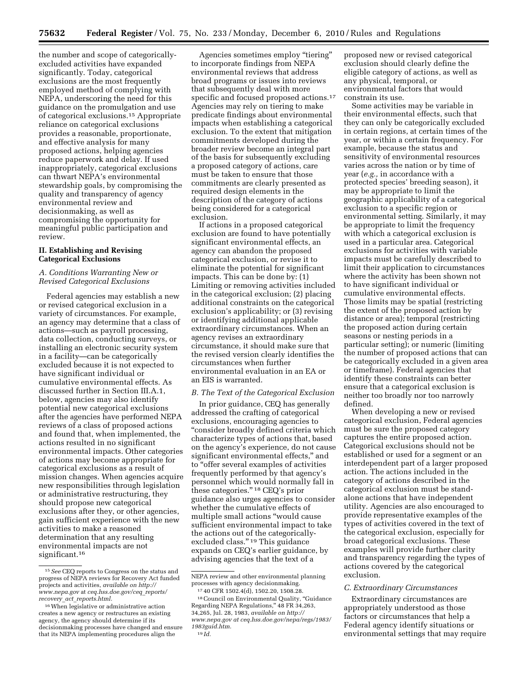the number and scope of categoricallyexcluded activities have expanded significantly. Today, categorical exclusions are the most frequently employed method of complying with NEPA, underscoring the need for this guidance on the promulgation and use of categorical exclusions.15 Appropriate reliance on categorical exclusions provides a reasonable, proportionate, and effective analysis for many proposed actions, helping agencies reduce paperwork and delay. If used inappropriately, categorical exclusions can thwart NEPA's environmental stewardship goals, by compromising the quality and transparency of agency environmental review and decisionmaking, as well as compromising the opportunity for meaningful public participation and review.

## **II. Establishing and Revising Categorical Exclusions**

## *A. Conditions Warranting New or Revised Categorical Exclusions*

Federal agencies may establish a new or revised categorical exclusion in a variety of circumstances. For example, an agency may determine that a class of actions—such as payroll processing, data collection, conducting surveys, or installing an electronic security system in a facility—can be categorically excluded because it is not expected to have significant individual or cumulative environmental effects. As discussed further in Section III.A.1, below, agencies may also identify potential new categorical exclusions after the agencies have performed NEPA reviews of a class of proposed actions and found that, when implemented, the actions resulted in no significant environmental impacts. Other categories of actions may become appropriate for categorical exclusions as a result of mission changes. When agencies acquire new responsibilities through legislation or administrative restructuring, they should propose new categorical exclusions after they, or other agencies, gain sufficient experience with the new activities to make a reasoned determination that any resulting environmental impacts are not significant.<sup>16</sup>

Agencies sometimes employ ''tiering'' to incorporate findings from NEPA environmental reviews that address broad programs or issues into reviews that subsequently deal with more specific and focused proposed actions.<sup>17</sup> Agencies may rely on tiering to make predicate findings about environmental impacts when establishing a categorical exclusion. To the extent that mitigation commitments developed during the broader review become an integral part of the basis for subsequently excluding a proposed category of actions, care must be taken to ensure that those commitments are clearly presented as required design elements in the description of the category of actions being considered for a categorical exclusion.

If actions in a proposed categorical exclusion are found to have potentially significant environmental effects, an agency can abandon the proposed categorical exclusion, or revise it to eliminate the potential for significant impacts. This can be done by: (1) Limiting or removing activities included in the categorical exclusion; (2) placing additional constraints on the categorical exclusion's applicability; or (3) revising or identifying additional applicable extraordinary circumstances. When an agency revises an extraordinary circumstance, it should make sure that the revised version clearly identifies the circumstances when further environmental evaluation in an EA or an EIS is warranted.

### *B. The Text of the Categorical Exclusion*

In prior guidance, CEQ has generally addressed the crafting of categorical exclusions, encouraging agencies to ''consider broadly defined criteria which characterize types of actions that, based on the agency's experience, do not cause significant environmental effects,'' and to ''offer several examples of activities frequently performed by that agency's personnel which would normally fall in these categories.'' 18 CEQ's prior guidance also urges agencies to consider whether the cumulative effects of multiple small actions ''would cause sufficient environmental impact to take the actions out of the categoricallyexcluded class."<sup>19</sup> This guidance expands on CEQ's earlier guidance, by advising agencies that the text of a

proposed new or revised categorical exclusion should clearly define the eligible category of actions, as well as any physical, temporal, or environmental factors that would constrain its use.

Some activities may be variable in their environmental effects, such that they can only be categorically excluded in certain regions, at certain times of the year, or within a certain frequency. For example, because the status and sensitivity of environmental resources varies across the nation or by time of year (*e.g.,* in accordance with a protected species' breeding season), it may be appropriate to limit the geographic applicability of a categorical exclusion to a specific region or environmental setting. Similarly, it may be appropriate to limit the frequency with which a categorical exclusion is used in a particular area. Categorical exclusions for activities with variable impacts must be carefully described to limit their application to circumstances where the activity has been shown not to have significant individual or cumulative environmental effects. Those limits may be spatial (restricting the extent of the proposed action by distance or area); temporal (restricting the proposed action during certain seasons or nesting periods in a particular setting); or numeric (limiting the number of proposed actions that can be categorically excluded in a given area or timeframe). Federal agencies that identify these constraints can better ensure that a categorical exclusion is neither too broadly nor too narrowly defined.

When developing a new or revised categorical exclusion, Federal agencies must be sure the proposed category captures the entire proposed action. Categorical exclusions should not be established or used for a segment or an interdependent part of a larger proposed action. The actions included in the category of actions described in the categorical exclusion must be standalone actions that have independent utility. Agencies are also encouraged to provide representative examples of the types of activities covered in the text of the categorical exclusion, especially for broad categorical exclusions. These examples will provide further clarity and transparency regarding the types of actions covered by the categorical exclusion.

### *C. Extraordinary Circumstances*

Extraordinary circumstances are appropriately understood as those factors or circumstances that help a Federal agency identify situations or environmental settings that may require

<sup>15</sup>*See* CEQ reports to Congress on the status and progress of NEPA reviews for Recovery Act funded projects and activities, *available on http:// www.nepa.gov* at *ceq.hss.doe.gov/ceq*\_*reports/ recovery*\_*act*\_*reports.html.* 

<sup>16</sup>When legislative or administrative action creates a new agency or restructures an existing agency, the agency should determine if its decisionmaking processes have changed and ensure that its NEPA implementing procedures align the

NEPA review and other environmental planning processes with agency decisionmaking.

<sup>17</sup> 40 CFR 1502.4(d), 1502.20, 1508.28.

 $^{18}\,$ Council on Environmental Quality, "Guidance Regarding NEPA Regulations,'' 48 FR 34,263, 34,265, Jul. 28, 1983, *available on http:// www.nepa.gov at ceq.hss.doe.gov/nepa/regs/1983/ 1983guid.htm.*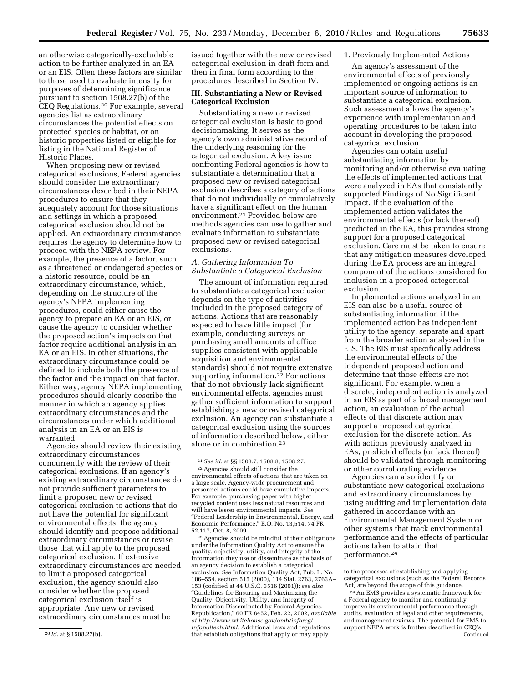an otherwise categorically-excludable action to be further analyzed in an EA or an EIS. Often these factors are similar to those used to evaluate intensity for purposes of determining significance pursuant to section 1508.27(b) of the CEQ Regulations.20 For example, several agencies list as extraordinary circumstances the potential effects on protected species or habitat, or on historic properties listed or eligible for listing in the National Register of Historic Places.

When proposing new or revised categorical exclusions, Federal agencies should consider the extraordinary circumstances described in their NEPA procedures to ensure that they adequately account for those situations and settings in which a proposed categorical exclusion should not be applied. An extraordinary circumstance requires the agency to determine how to proceed with the NEPA review. For example, the presence of a factor, such as a threatened or endangered species or a historic resource, could be an extraordinary circumstance, which, depending on the structure of the agency's NEPA implementing procedures, could either cause the agency to prepare an EA or an EIS, or cause the agency to consider whether the proposed action's impacts on that factor require additional analysis in an EA or an EIS. In other situations, the extraordinary circumstance could be defined to include both the presence of the factor and the impact on that factor. Either way, agency NEPA implementing procedures should clearly describe the manner in which an agency applies extraordinary circumstances and the circumstances under which additional analysis in an EA or an EIS is warranted.

Agencies should review their existing extraordinary circumstances concurrently with the review of their categorical exclusions. If an agency's existing extraordinary circumstances do not provide sufficient parameters to limit a proposed new or revised categorical exclusion to actions that do not have the potential for significant environmental effects, the agency should identify and propose additional extraordinary circumstances or revise those that will apply to the proposed categorical exclusion. If extensive extraordinary circumstances are needed to limit a proposed categorical exclusion, the agency should also consider whether the proposed categorical exclusion itself is appropriate. Any new or revised extraordinary circumstances must be

issued together with the new or revised categorical exclusion in draft form and then in final form according to the procedures described in Section IV.

## **III. Substantiating a New or Revised Categorical Exclusion**

Substantiating a new or revised categorical exclusion is basic to good decisionmaking. It serves as the agency's own administrative record of the underlying reasoning for the categorical exclusion. A key issue confronting Federal agencies is how to substantiate a determination that a proposed new or revised categorical exclusion describes a category of actions that do not individually or cumulatively have a significant effect on the human environment.21 Provided below are methods agencies can use to gather and evaluate information to substantiate proposed new or revised categorical exclusions.

# *A. Gathering Information To Substantiate a Categorical Exclusion*

The amount of information required to substantiate a categorical exclusion depends on the type of activities included in the proposed category of actions. Actions that are reasonably expected to have little impact (for example, conducting surveys or purchasing small amounts of office supplies consistent with applicable acquisition and environmental standards) should not require extensive supporting information.22 For actions that do not obviously lack significant environmental effects, agencies must gather sufficient information to support establishing a new or revised categorical exclusion. An agency can substantiate a categorical exclusion using the sources of information described below, either alone or in combination.23

23Agencies should be mindful of their obligations under the Information Quality Act to ensure the quality, objectivity, utility, and integrity of the information they use or disseminate as the basis of an agency decision to establish a categorical exclusion. *See* Information Quality Act, Pub. L. No. 106–554, section 515 (2000), 114 Stat. 2763, 2763A– 153 (codified at 44 U.S.C. 3516 (2001)); *see also*  ''Guidelines for Ensuring and Maximizing the Quality, Objectivity, Utility, and Integrity of Information Disseminated by Federal Agencies, Republication,'' 60 FR 8452, Feb. 22, 2002, *available at http://www.whitehouse.gov/omb/inforeg/ infopoltech.html.* Additional laws and regulations that establish obligations that apply or may apply

## 1. Previously Implemented Actions

An agency's assessment of the environmental effects of previously implemented or ongoing actions is an important source of information to substantiate a categorical exclusion. Such assessment allows the agency's experience with implementation and operating procedures to be taken into account in developing the proposed categorical exclusion.

Agencies can obtain useful substantiating information by monitoring and/or otherwise evaluating the effects of implemented actions that were analyzed in EAs that consistently supported Findings of No Significant Impact. If the evaluation of the implemented action validates the environmental effects (or lack thereof) predicted in the EA, this provides strong support for a proposed categorical exclusion. Care must be taken to ensure that any mitigation measures developed during the EA process are an integral component of the actions considered for inclusion in a proposed categorical exclusion.

Implemented actions analyzed in an EIS can also be a useful source of substantiating information if the implemented action has independent utility to the agency, separate and apart from the broader action analyzed in the EIS. The EIS must specifically address the environmental effects of the independent proposed action and determine that those effects are not significant. For example, when a discrete, independent action is analyzed in an EIS as part of a broad management action, an evaluation of the actual effects of that discrete action may support a proposed categorical exclusion for the discrete action. As with actions previously analyzed in EAs, predicted effects (or lack thereof) should be validated through monitoring or other corroborating evidence.

Agencies can also identify or substantiate new categorical exclusions and extraordinary circumstances by using auditing and implementation data gathered in accordance with an Environmental Management System or other systems that track environmental performance and the effects of particular actions taken to attain that performance.24

<sup>20</sup> *Id.* at § 1508.27(b).

<sup>21</sup>*See id.* at §§ 1508.7, 1508.8, 1508.27. 22Agencies should still consider the environmental effects of actions that are taken on a large scale. Agency-wide procurement and personnel actions could have cumulative impacts. For example, purchasing paper with higher recycled content uses less natural resources and will have lesser environmental impacts. *See*  ''Federal Leadership in Environmental, Energy, and Economic Performance,'' E.O. No. 13,514, 74 FR 52,117, Oct. 8, 2009.

to the processes of establishing and applying categorical exclusions (such as the Federal Records Act) are beyond the scope of this guidance.

<sup>24</sup>An EMS provides a systematic framework for a Federal agency to monitor and continually improve its environmental performance through audits, evaluation of legal and other requirements, and management reviews. The potential for EMS to support NEPA work is further described in CEQ's Continued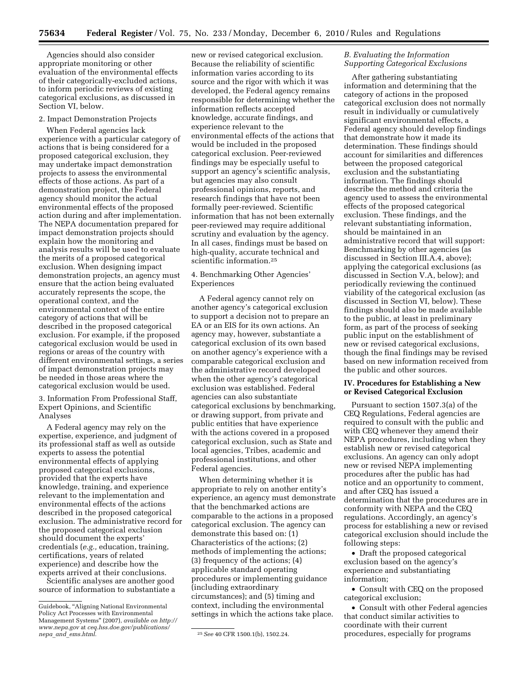Agencies should also consider appropriate monitoring or other evaluation of the environmental effects of their categorically-excluded actions, to inform periodic reviews of existing categorical exclusions, as discussed in Section VI, below.

### 2. Impact Demonstration Projects

When Federal agencies lack experience with a particular category of actions that is being considered for a proposed categorical exclusion, they may undertake impact demonstration projects to assess the environmental effects of those actions. As part of a demonstration project, the Federal agency should monitor the actual environmental effects of the proposed action during and after implementation. The NEPA documentation prepared for impact demonstration projects should explain how the monitoring and analysis results will be used to evaluate the merits of a proposed categorical exclusion. When designing impact demonstration projects, an agency must ensure that the action being evaluated accurately represents the scope, the operational context, and the environmental context of the entire category of actions that will be described in the proposed categorical exclusion. For example, if the proposed categorical exclusion would be used in regions or areas of the country with different environmental settings, a series of impact demonstration projects may be needed in those areas where the categorical exclusion would be used.

3. Information From Professional Staff, Expert Opinions, and Scientific Analyses

A Federal agency may rely on the expertise, experience, and judgment of its professional staff as well as outside experts to assess the potential environmental effects of applying proposed categorical exclusions, provided that the experts have knowledge, training, and experience relevant to the implementation and environmental effects of the actions described in the proposed categorical exclusion. The administrative record for the proposed categorical exclusion should document the experts' credentials (*e.g.,* education, training, certifications, years of related experience) and describe how the experts arrived at their conclusions.

Scientific analyses are another good source of information to substantiate a

new or revised categorical exclusion. Because the reliability of scientific information varies according to its source and the rigor with which it was developed, the Federal agency remains responsible for determining whether the information reflects accepted knowledge, accurate findings, and experience relevant to the environmental effects of the actions that would be included in the proposed categorical exclusion. Peer-reviewed findings may be especially useful to support an agency's scientific analysis, but agencies may also consult professional opinions, reports, and research findings that have not been formally peer-reviewed. Scientific information that has not been externally peer-reviewed may require additional scrutiny and evaluation by the agency. In all cases, findings must be based on high-quality, accurate technical and scientific information.25

## 4. Benchmarking Other Agencies' Experiences

A Federal agency cannot rely on another agency's categorical exclusion to support a decision not to prepare an EA or an EIS for its own actions. An agency may, however, substantiate a categorical exclusion of its own based on another agency's experience with a comparable categorical exclusion and the administrative record developed when the other agency's categorical exclusion was established. Federal agencies can also substantiate categorical exclusions by benchmarking, or drawing support, from private and public entities that have experience with the actions covered in a proposed categorical exclusion, such as State and local agencies, Tribes, academic and professional institutions, and other Federal agencies.

When determining whether it is appropriate to rely on another entity's experience, an agency must demonstrate that the benchmarked actions are comparable to the actions in a proposed categorical exclusion. The agency can demonstrate this based on: (1) Characteristics of the actions; (2) methods of implementing the actions; (3) frequency of the actions; (4) applicable standard operating procedures or implementing guidance (including extraordinary circumstances); and (5) timing and context, including the environmental settings in which the actions take place.

## *B. Evaluating the Information Supporting Categorical Exclusions*

After gathering substantiating information and determining that the category of actions in the proposed categorical exclusion does not normally result in individually or cumulatively significant environmental effects, a Federal agency should develop findings that demonstrate how it made its determination. These findings should account for similarities and differences between the proposed categorical exclusion and the substantiating information. The findings should describe the method and criteria the agency used to assess the environmental effects of the proposed categorical exclusion. These findings, and the relevant substantiating information, should be maintained in an administrative record that will support: Benchmarking by other agencies (as discussed in Section III.A.4, above); applying the categorical exclusions (as discussed in Section V.A, below); and periodically reviewing the continued viability of the categorical exclusion (as discussed in Section VI, below). These findings should also be made available to the public, at least in preliminary form, as part of the process of seeking public input on the establishment of new or revised categorical exclusions, though the final findings may be revised based on new information received from the public and other sources.

# **IV. Procedures for Establishing a New or Revised Categorical Exclusion**

Pursuant to section 1507.3(a) of the CEQ Regulations, Federal agencies are required to consult with the public and with CEQ whenever they amend their NEPA procedures, including when they establish new or revised categorical exclusions. An agency can only adopt new or revised NEPA implementing procedures after the public has had notice and an opportunity to comment, and after CEQ has issued a determination that the procedures are in conformity with NEPA and the CEQ regulations. Accordingly, an agency's process for establishing a new or revised categorical exclusion should include the following steps:

• Draft the proposed categorical exclusion based on the agency's experience and substantiating information;

• Consult with CEQ on the proposed categorical exclusion;

• Consult with other Federal agencies that conduct similar activities to coordinate with their current procedures, especially for programs

Guidebook, ''Aligning National Environmental Policy Act Processes with Environmental Management Systems'' (2007), *available on http:// www.nepa.gov* at *ceq.hss.doe.gov/publications/* 

*nepa*\_*and*\_*ems.html.* 25*See* 40 CFR 1500.1(b), 1502.24.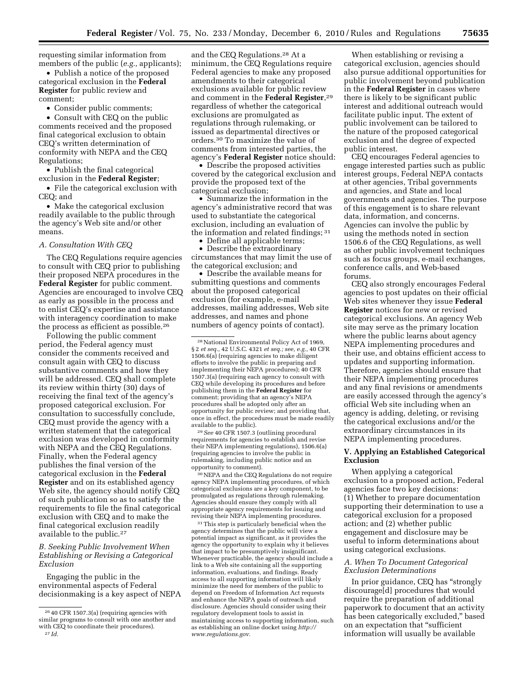requesting similar information from members of the public (*e.g.,* applicants);

• Publish a notice of the proposed categorical exclusion in the **Federal Register** for public review and comment;

• Consider public comments;

• Consult with CEQ on the public comments received and the proposed final categorical exclusion to obtain CEQ's written determination of conformity with NEPA and the CEQ Regulations;

• Publish the final categorical exclusion in the **Federal Register**;

• File the categorical exclusion with CEQ; and

• Make the categorical exclusion readily available to the public through the agency's Web site and/or other means.

## *A. Consultation With CEQ*

The CEQ Regulations require agencies to consult with CEQ prior to publishing their proposed NEPA procedures in the **Federal Register** for public comment. Agencies are encouraged to involve CEQ as early as possible in the process and to enlist CEQ's expertise and assistance with interagency coordination to make the process as efficient as possible.26

Following the public comment period, the Federal agency must consider the comments received and consult again with CEQ to discuss substantive comments and how they will be addressed. CEQ shall complete its review within thirty (30) days of receiving the final text of the agency's proposed categorical exclusion. For consultation to successfully conclude, CEQ must provide the agency with a written statement that the categorical exclusion was developed in conformity with NEPA and the CEQ Regulations. Finally, when the Federal agency publishes the final version of the categorical exclusion in the **Federal Register** and on its established agency Web site, the agency should notify CEQ of such publication so as to satisfy the requirements to file the final categorical exclusion with CEQ and to make the final categorical exclusion readily available to the public.27

## *B. Seeking Public Involvement When Establishing or Revising a Categorical Exclusion*

Engaging the public in the environmental aspects of Federal decisionmaking is a key aspect of NEPA

and the CEQ Regulations.28 At a minimum, the CEQ Regulations require Federal agencies to make any proposed amendments to their categorical exclusions available for public review and comment in the **Federal Register**,29 regardless of whether the categorical exclusions are promulgated as regulations through rulemaking, or issued as departmental directives or orders.30 To maximize the value of comments from interested parties, the agency's **Federal Register** notice should:

• Describe the proposed activities covered by the categorical exclusion and provide the proposed text of the categorical exclusion;

• Summarize the information in the agency's administrative record that was used to substantiate the categorical exclusion, including an evaluation of the information and related findings; 31

• Define all applicable terms;

• Describe the extraordinary circumstances that may limit the use of the categorical exclusion; and

• Describe the available means for submitting questions and comments about the proposed categorical exclusion (for example, e-mail addresses, mailing addresses, Web site addresses, and names and phone numbers of agency points of contact).

29*See* 40 CFR 1507.3 (outlining procedural requirements for agencies to establish and revise their NEPA implementing regulations), 1506.6(a) (requiring agencies to involve the public in rulemaking, including public notice and an opportunity to comment).

30NEPA and the CEQ Regulations do not require agency NEPA implementing procedures, of which categorical exclusions are a key component, to be promulgated as regulations through rulemaking. Agencies should ensure they comply with all appropriate agency requirements for issuing and revising their NEPA implementing procedures.

31This step is particularly beneficial when the agency determines that the public will view a potential impact as significant, as it provides the agency the opportunity to explain why it believes that impact to be presumptively insignificant. Whenever practicable, the agency should include a link to a Web site containing all the supporting information, evaluations, and findings. Ready access to all supporting information will likely minimize the need for members of the public to depend on Freedom of Information Act requests and enhance the NEPA goals of outreach and disclosure. Agencies should consider using their regulatory development tools to assist in maintaining access to supporting information, such as establishing an online docket using *http:// www.regulations.gov.* 

When establishing or revising a categorical exclusion, agencies should also pursue additional opportunities for public involvement beyond publication in the **Federal Register** in cases where there is likely to be significant public interest and additional outreach would facilitate public input. The extent of public involvement can be tailored to the nature of the proposed categorical exclusion and the degree of expected public interest.

CEQ encourages Federal agencies to engage interested parties such as public interest groups, Federal NEPA contacts at other agencies, Tribal governments and agencies, and State and local governments and agencies. The purpose of this engagement is to share relevant data, information, and concerns. Agencies can involve the public by using the methods noted in section 1506.6 of the CEQ Regulations, as well as other public involvement techniques such as focus groups, e-mail exchanges, conference calls, and Web-based forums.

CEQ also strongly encourages Federal agencies to post updates on their official Web sites whenever they issue **Federal Register** notices for new or revised categorical exclusions. An agency Web site may serve as the primary location where the public learns about agency NEPA implementing procedures and their use, and obtains efficient access to updates and supporting information. Therefore, agencies should ensure that their NEPA implementing procedures and any final revisions or amendments are easily accessed through the agency's official Web site including when an agency is adding, deleting, or revising the categorical exclusions and/or the extraordinary circumstances in its NEPA implementing procedures.

## **V. Applying an Established Categorical Exclusion**

When applying a categorical exclusion to a proposed action, Federal agencies face two key decisions: (1) Whether to prepare documentation supporting their determination to use a categorical exclusion for a proposed action; and (2) whether public engagement and disclosure may be useful to inform determinations about using categorical exclusions.

# *A. When To Document Categorical Exclusion Determinations*

In prior guidance, CEQ has ''strongly discourage[d] procedures that would require the preparation of additional paperwork to document that an activity has been categorically excluded,'' based on an expectation that ''sufficient information will usually be available

<sup>26</sup> 40 CFR 1507.3(a) (requiring agencies with similar programs to consult with one another and with CEQ to coordinate their procedures). 27 *Id.* 

<sup>28</sup>National Environmental Policy Act of 1969, § 2 *et seq.,* 42 U.S.C. 4321 *et seq.; see, e.g.,* 40 CFR 1506.6(a) (requiring agencies to make diligent efforts to involve the public in preparing and implementing their NEPA procedures); 40 CFR 1507.3(a) (requiring each agency to consult with CEQ while developing its procedures and before publishing them in the **Federal Register** for comment; providing that an agency's NEPA procedures shall be adopted only after an opportunity for public review; and providing that, once in effect, the procedures must be made readily available to the public).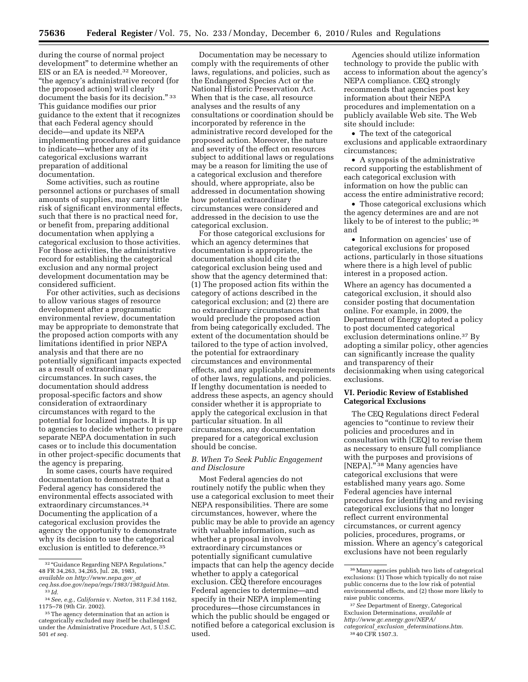during the course of normal project development'' to determine whether an EIS or an EA is needed.32 Moreover, ''the agency's administrative record (for the proposed action) will clearly document the basis for its decision." 33 This guidance modifies our prior guidance to the extent that it recognizes that each Federal agency should decide—and update its NEPA implementing procedures and guidance to indicate—whether any of its categorical exclusions warrant preparation of additional documentation.

Some activities, such as routine personnel actions or purchases of small amounts of supplies, may carry little risk of significant environmental effects, such that there is no practical need for, or benefit from, preparing additional documentation when applying a categorical exclusion to those activities. For those activities, the administrative record for establishing the categorical exclusion and any normal project development documentation may be considered sufficient.

For other activities, such as decisions to allow various stages of resource development after a programmatic environmental review, documentation may be appropriate to demonstrate that the proposed action comports with any limitations identified in prior NEPA analysis and that there are no potentially significant impacts expected as a result of extraordinary circumstances. In such cases, the documentation should address proposal-specific factors and show consideration of extraordinary circumstances with regard to the potential for localized impacts. It is up to agencies to decide whether to prepare separate NEPA documentation in such cases or to include this documentation in other project-specific documents that the agency is preparing.

In some cases, courts have required documentation to demonstrate that a Federal agency has considered the environmental effects associated with extraordinary circumstances.34 Documenting the application of a categorical exclusion provides the agency the opportunity to demonstrate why its decision to use the categorical exclusion is entitled to deference.35

Documentation may be necessary to comply with the requirements of other laws, regulations, and policies, such as the Endangered Species Act or the National Historic Preservation Act. When that is the case, all resource analyses and the results of any consultations or coordination should be incorporated by reference in the administrative record developed for the proposed action. Moreover, the nature and severity of the effect on resources subject to additional laws or regulations may be a reason for limiting the use of a categorical exclusion and therefore should, where appropriate, also be addressed in documentation showing how potential extraordinary circumstances were considered and addressed in the decision to use the categorical exclusion.

For those categorical exclusions for which an agency determines that documentation is appropriate, the documentation should cite the categorical exclusion being used and show that the agency determined that: (1) The proposed action fits within the category of actions described in the categorical exclusion; and (2) there are no extraordinary circumstances that would preclude the proposed action from being categorically excluded. The extent of the documentation should be tailored to the type of action involved, the potential for extraordinary circumstances and environmental effects, and any applicable requirements of other laws, regulations, and policies. If lengthy documentation is needed to address these aspects, an agency should consider whether it is appropriate to apply the categorical exclusion in that particular situation. In all circumstances, any documentation prepared for a categorical exclusion should be concise.

## *B. When To Seek Public Engagement and Disclosure*

Most Federal agencies do not routinely notify the public when they use a categorical exclusion to meet their NEPA responsibilities. There are some circumstances, however, where the public may be able to provide an agency with valuable information, such as whether a proposal involves extraordinary circumstances or potentially significant cumulative impacts that can help the agency decide whether to apply a categorical exclusion. CEQ therefore encourages Federal agencies to determine—and specify in their NEPA implementing procedures—those circumstances in which the public should be engaged or notified before a categorical exclusion is used.

Agencies should utilize information technology to provide the public with access to information about the agency's NEPA compliance. CEQ strongly recommends that agencies post key information about their NEPA procedures and implementation on a publicly available Web site. The Web site should include:

• The text of the categorical exclusions and applicable extraordinary circumstances;

• A synopsis of the administrative record supporting the establishment of each categorical exclusion with information on how the public can access the entire administrative record;

• Those categorical exclusions which the agency determines are and are not likely to be of interest to the public; 36 and

• Information on agencies' use of categorical exclusions for proposed actions, particularly in those situations where there is a high level of public interest in a proposed action.

Where an agency has documented a categorical exclusion, it should also consider posting that documentation online. For example, in 2009, the Department of Energy adopted a policy to post documented categorical exclusion determinations online.37 By adopting a similar policy, other agencies can significantly increase the quality and transparency of their decisionmaking when using categorical exclusions.

### **VI. Periodic Review of Established Categorical Exclusions**

The CEQ Regulations direct Federal agencies to ''continue to review their policies and procedures and in consultation with [CEQ] to revise them as necessary to ensure full compliance with the purposes and provisions of [NEPA].'' 38 Many agencies have categorical exclusions that were established many years ago. Some Federal agencies have internal procedures for identifying and revising categorical exclusions that no longer reflect current environmental circumstances, or current agency policies, procedures, programs, or mission. Where an agency's categorical exclusions have not been regularly

<sup>32</sup> ''Guidance Regarding NEPA Regulations,'' 48 FR 34,263, 34,265, Jul. 28, 1983,

*available on http://www.nepa.gov*\_*at* 

*ceq.hss.doe.gov/nepa/regs/1983/1983guid.htm.* 33 *Id.* 

<sup>34</sup>*See, e.g., California* v. *Norton,* 311 F.3d 1162,

<sup>&</sup>lt;sup>35</sup> The agency determination that an action is categorically excluded may itself be challenged under the Administrative Procedure Act, 5 U.S.C. 501 *et seq.* 

<sup>36</sup>Many agencies publish two lists of categorical exclusions: (1) Those which typically do not raise public concerns due to the low risk of potential environmental effects, and (2) those more likely to raise public concerns.

<sup>37</sup>*See* Department of Energy, Categorical Exclusion Determinations, *available at http://www.gc.energy.gov/NEPA/ categorical*\_*exclusion*\_*determinations.htm*. 38 40 CFR 1507.3.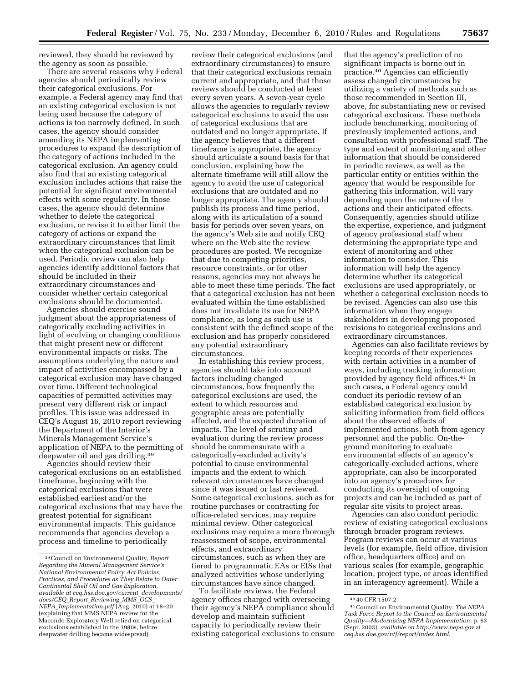reviewed, they should be reviewed by the agency as soon as possible.

There are several reasons why Federal agencies should periodically review their categorical exclusions. For example, a Federal agency may find that an existing categorical exclusion is not being used because the category of actions is too narrowly defined. In such cases, the agency should consider amending its NEPA implementing procedures to expand the description of the category of actions included in the categorical exclusion. An agency could also find that an existing categorical exclusion includes actions that raise the potential for significant environmental effects with some regularity. In those cases, the agency should determine whether to delete the categorical exclusion, or revise it to either limit the category of actions or expand the extraordinary circumstances that limit when the categorical exclusion can be used. Periodic review can also help agencies identify additional factors that should be included in their extraordinary circumstances and consider whether certain categorical exclusions should be documented.

Agencies should exercise sound judgment about the appropriateness of categorically excluding activities in light of evolving or changing conditions that might present new or different environmental impacts or risks. The assumptions underlying the nature and impact of activities encompassed by a categorical exclusion may have changed over time. Different technological capacities of permitted activities may present very different risk or impact profiles. This issue was addressed in CEQ's August 16, 2010 report reviewing the Department of the Interior's Minerals Management Service's application of NEPA to the permitting of deepwater oil and gas drilling.39

Agencies should review their categorical exclusions on an established timeframe, beginning with the categorical exclusions that were established earliest and/or the categorical exclusions that may have the greatest potential for significant environmental impacts. This guidance recommends that agencies develop a process and timeline to periodically

review their categorical exclusions (and extraordinary circumstances) to ensure that their categorical exclusions remain current and appropriate, and that those reviews should be conducted at least every seven years. A seven-year cycle allows the agencies to regularly review categorical exclusions to avoid the use of categorical exclusions that are outdated and no longer appropriate. If the agency believes that a different timeframe is appropriate, the agency should articulate a sound basis for that conclusion, explaining how the alternate timeframe will still allow the agency to avoid the use of categorical exclusions that are outdated and no longer appropriate. The agency should publish its process and time period, along with its articulation of a sound basis for periods over seven years, on the agency's Web site and notify CEQ where on the Web site the review procedures are posted. We recognize that due to competing priorities, resource constraints, or for other reasons, agencies may not always be able to meet these time periods. The fact that a categorical exclusion has not been evaluated within the time established does not invalidate its use for NEPA compliance, as long as such use is consistent with the defined scope of the exclusion and has properly considered any potential extraordinary circumstances.

In establishing this review process, agencies should take into account factors including changed circumstances, how frequently the categorical exclusions are used, the extent to which resources and geographic areas are potentially affected, and the expected duration of impacts. The level of scrutiny and evaluation during the review process should be commensurate with a categorically-excluded activity's potential to cause environmental impacts and the extent to which relevant circumstances have changed since it was issued or last reviewed. Some categorical exclusions, such as for routine purchases or contracting for office-related services, may require minimal review. Other categorical exclusions may require a more thorough reassessment of scope, environmental effects, and extraordinary circumstances, such as when they are tiered to programmatic EAs or EISs that analyzed activities whose underlying circumstances have since changed.

To facilitate reviews, the Federal agency offices charged with overseeing their agency's NEPA compliance should develop and maintain sufficient capacity to periodically review their existing categorical exclusions to ensure

that the agency's prediction of no significant impacts is borne out in practice.40 Agencies can efficiently assess changed circumstances by utilizing a variety of methods such as those recommended in Section III, above, for substantiating new or revised categorical exclusions. These methods include benchmarking, monitoring of previously implemented actions, and consultation with professional staff. The type and extent of monitoring and other information that should be considered in periodic reviews, as well as the particular entity or entities within the agency that would be responsible for gathering this information, will vary depending upon the nature of the actions and their anticipated effects. Consequently, agencies should utilize the expertise, experience, and judgment of agency professional staff when determining the appropriate type and extent of monitoring and other information to consider. This information will help the agency determine whether its categorical exclusions are used appropriately, or whether a categorical exclusion needs to be revised. Agencies can also use this information when they engage stakeholders in developing proposed revisions to categorical exclusions and extraordinary circumstances.

Agencies can also facilitate reviews by keeping records of their experiences with certain activities in a number of ways, including tracking information provided by agency field offices.41 In such cases, a Federal agency could conduct its periodic review of an established categorical exclusion by soliciting information from field offices about the observed effects of implemented actions, both from agency personnel and the public. On-theground monitoring to evaluate environmental effects of an agency's categorically-excluded actions, where appropriate, can also be incorporated into an agency's procedures for conducting its oversight of ongoing projects and can be included as part of regular site visits to project areas.

Agencies can also conduct periodic review of existing categorical exclusions through broader program reviews. Program reviews can occur at various levels (for example, field office, division office, headquarters office) and on various scales (for example, geographic location, project type, or areas identified in an interagency agreement). While a

<sup>39</sup>Council on Environmental Quality, *Report Regarding the Mineral Management Service's National Environmental Policy Act Policies, Practices, and Procedures as They Relate to Outer Continental Shelf Oil and Gas Exploration, available at ceq.hss.doe.gov/current*\_*developments/ docs/CEQ*\_*Report*\_*Reviewing*\_*MMS*\_*OCS*\_ *NEPA*\_*Implementation.pdf* (Aug. 2010) at 18–20 (explaining that MMS NEPA review for the Macondo Exploratory Well relied on categorical exclusions established in the 1980s, before deepwater drilling became widespread).

<sup>40</sup> 40 CFR 1507.2. 41Council on Environmental Quality, *The NEPA Task Force Report to the Council on Environmental Quality—Modernizing NEPA Implementation,* p. 63 (Sept. 2003), *available on http://www.nepa.gov* at *ceq.hss.doe.gov/ntf/report/index.html.*